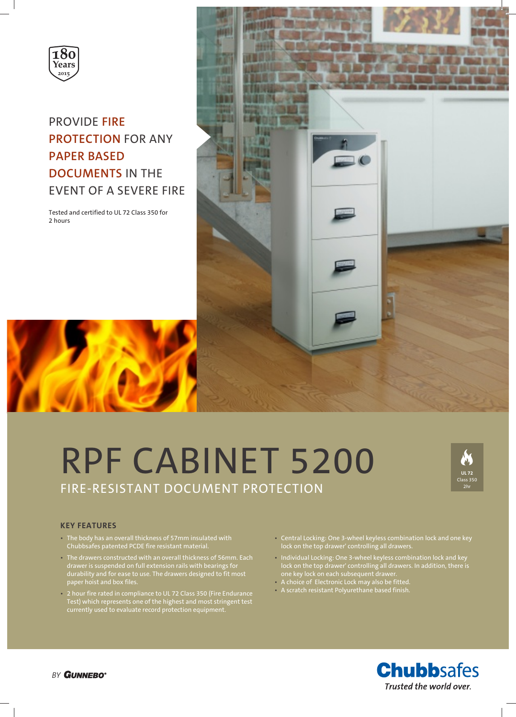

# PROVIDE **FIRE PROTECTION** FOR ANY **PAPER BASED DOCUMENTS** IN THE EVENT OF A SEVERE FIRE

Tested and certified to UL 72 Class 350 for 2 hours



# RPF CABINET 5200 FIRE-RESISTANT DOCUMENT PROTECTION



## **KEY FEATURES**

- The body has an overall thickness of 57mm insulated with Chubbsafes patented PCDE fire resistant material.
- The drawers constructed with an overall thickness of 56mm. Each drawer is suspended on full extension rails with bearings for durability and for ease to use. The drawers designed to fit most paper hoist and box files.
- 2 hour fire rated in compliance to UL 72 Class 350 (Fire Endurance Test) which represents one of the highest and most stringent test currently used to evaluate record protection equipment.
- Central Locking: One 3-wheel keyless combination lock and one key lock on the top drawer' controlling all drawers.
- Individual Locking: One 3-wheel keyless combination lock and key lock on the top drawer' controlling all drawers. In addition, there is one key lock on each subsequent drawer.
- A choice of Electronic Lock may also be fitted.
- A scratch resistant Polyurethane based finish.